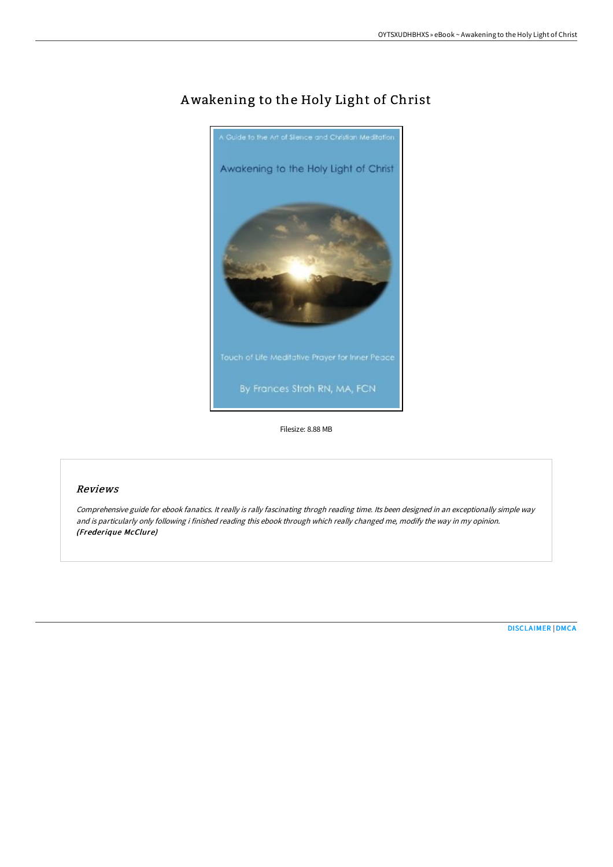

# Awakening to the Holy Light of Christ

Filesize: 8.88 MB

### Reviews

Comprehensive guide for ebook fanatics. It really is rally fascinating throgh reading time. Its been designed in an exceptionally simple way and is particularly only following i finished reading this ebook through which really changed me, modify the way in my opinion. (Frederique McClure)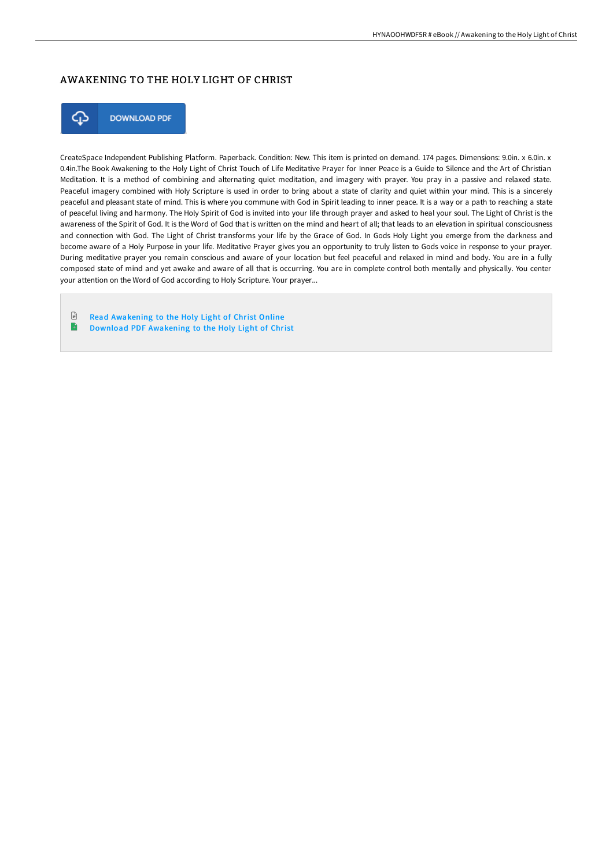## AWAKENING TO THE HOLY LIGHT OF CHRIST



**DOWNLOAD PDF** 

CreateSpace Independent Publishing Platform. Paperback. Condition: New. This item is printed on demand. 174 pages. Dimensions: 9.0in. x 6.0in. x 0.4in.The Book Awakening to the Holy Light of Christ Touch of Life Meditative Prayer for Inner Peace is a Guide to Silence and the Art of Christian Meditation. It is a method of combining and alternating quiet meditation, and imagery with prayer. You pray in a passive and relaxed state. Peaceful imagery combined with Holy Scripture is used in order to bring about a state of clarity and quiet within your mind. This is a sincerely peaceful and pleasant state of mind. This is where you commune with God in Spirit leading to inner peace. It is a way or a path to reaching a state of peaceful living and harmony. The Holy Spirit of God is invited into your life through prayer and asked to heal your soul. The Light of Christ is the awareness of the Spirit of God. It is the Word of God that is written on the mind and heart of all; that leads to an elevation in spiritual consciousness and connection with God. The Light of Christ transforms your life by the Grace of God. In Gods Holy Light you emerge from the darkness and become aware of a Holy Purpose in your life. Meditative Prayer gives you an opportunity to truly listen to Gods voice in response to your prayer. During meditative prayer you remain conscious and aware of your location but feel peaceful and relaxed in mind and body. You are in a fully composed state of mind and yet awake and aware of all that is occurring. You are in complete control both mentally and physically. You center your attention on the Word of God according to Holy Scripture. Your prayer...

 $\ensuremath{\mathop\square}$ Read [Awakening](http://www.bookdirs.com/awakening-to-the-holy-light-of-christ.html) to the Holy Light of Christ Online  $\blacktriangleright$ Download PDF [Awakening](http://www.bookdirs.com/awakening-to-the-holy-light-of-christ.html) to the Holy Light of Christ